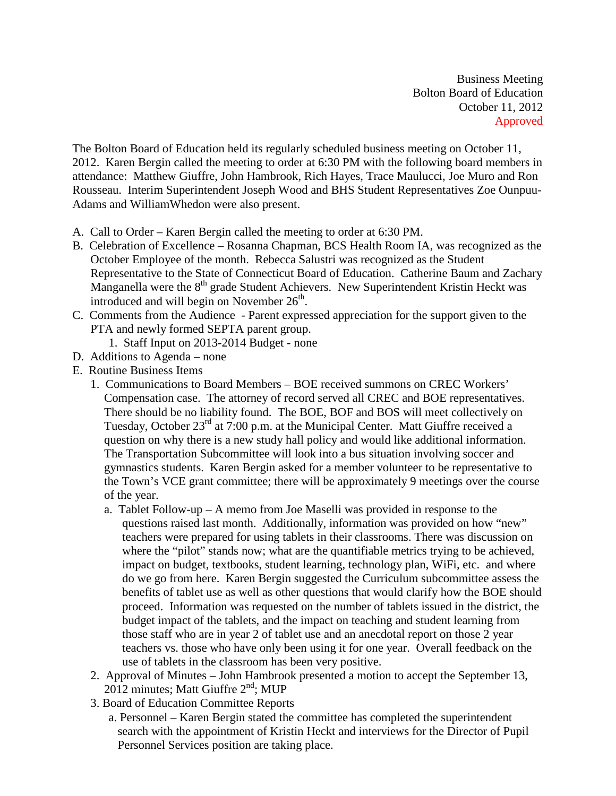Business Meeting Bolton Board of Education October 11, 2012 Approved

The Bolton Board of Education held its regularly scheduled business meeting on October 11, 2012. Karen Bergin called the meeting to order at 6:30 PM with the following board members in attendance: Matthew Giuffre, John Hambrook, Rich Hayes, Trace Maulucci, Joe Muro and Ron Rousseau. Interim Superintendent Joseph Wood and BHS Student Representatives Zoe Ounpuu-Adams and WilliamWhedon were also present.

- A. Call to Order Karen Bergin called the meeting to order at 6:30 PM.
- B. Celebration of Excellence Rosanna Chapman, BCS Health Room IA, was recognized as the October Employee of the month. Rebecca Salustri was recognized as the Student Representative to the State of Connecticut Board of Education. Catherine Baum and Zachary Manganella were the  $8<sup>th</sup>$  grade Student Achievers. New Superintendent Kristin Heckt was introduced and will begin on November  $26<sup>th</sup>$ .
- C. Comments from the Audience Parent expressed appreciation for the support given to the PTA and newly formed SEPTA parent group.
	- 1. Staff Input on 2013-2014 Budget none
- D. Additions to Agenda none
- E. Routine Business Items
	- 1. Communications to Board Members BOE received summons on CREC Workers' Compensation case. The attorney of record served all CREC and BOE representatives. There should be no liability found. The BOE, BOF and BOS will meet collectively on Tuesday, October  $23^{\text{rd}}$  at 7:00 p.m. at the Municipal Center. Matt Giuffre received a question on why there is a new study hall policy and would like additional information. The Transportation Subcommittee will look into a bus situation involving soccer and gymnastics students. Karen Bergin asked for a member volunteer to be representative to the Town's VCE grant committee; there will be approximately 9 meetings over the course of the year.
		- a. Tablet Follow-up A memo from Joe Maselli was provided in response to the questions raised last month. Additionally, information was provided on how "new" teachers were prepared for using tablets in their classrooms. There was discussion on where the "pilot" stands now; what are the quantifiable metrics trying to be achieved, impact on budget, textbooks, student learning, technology plan, WiFi, etc. and where do we go from here. Karen Bergin suggested the Curriculum subcommittee assess the benefits of tablet use as well as other questions that would clarify how the BOE should proceed. Information was requested on the number of tablets issued in the district, the budget impact of the tablets, and the impact on teaching and student learning from those staff who are in year 2 of tablet use and an anecdotal report on those 2 year teachers vs. those who have only been using it for one year. Overall feedback on the use of tablets in the classroom has been very positive.
	- 2. Approval of Minutes John Hambrook presented a motion to accept the September 13,  $2012$  minutes; Matt Giuffre  $2<sup>nd</sup>$ ; MUP
	- 3. Board of Education Committee Reports
		- a. Personnel Karen Bergin stated the committee has completed the superintendent search with the appointment of Kristin Heckt and interviews for the Director of Pupil Personnel Services position are taking place.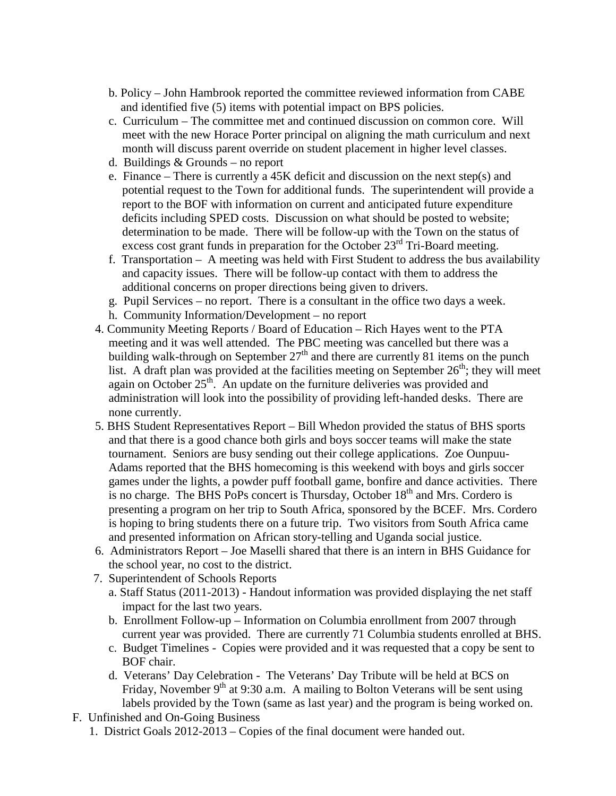- b. Policy John Hambrook reported the committee reviewed information from CABE and identified five (5) items with potential impact on BPS policies.
- c. Curriculum The committee met and continued discussion on common core. Will meet with the new Horace Porter principal on aligning the math curriculum and next month will discuss parent override on student placement in higher level classes.
- d. Buildings & Grounds no report
- e. Finance There is currently a 45K deficit and discussion on the next step(s) and potential request to the Town for additional funds. The superintendent will provide a report to the BOF with information on current and anticipated future expenditure deficits including SPED costs. Discussion on what should be posted to website; determination to be made. There will be follow-up with the Town on the status of excess cost grant funds in preparation for the October 23<sup>rd</sup> Tri-Board meeting.
- f. Transportation A meeting was held with First Student to address the bus availability and capacity issues. There will be follow-up contact with them to address the additional concerns on proper directions being given to drivers.
- g. Pupil Services no report. There is a consultant in the office two days a week.
- h. Community Information/Development no report
- 4. Community Meeting Reports / Board of Education Rich Hayes went to the PTA meeting and it was well attended. The PBC meeting was cancelled but there was a building walk-through on September  $27<sup>th</sup>$  and there are currently 81 items on the punch list. A draft plan was provided at the facilities meeting on September  $26<sup>th</sup>$ ; they will meet again on October  $25<sup>th</sup>$ . An update on the furniture deliveries was provided and administration will look into the possibility of providing left-handed desks. There are none currently.
- 5. BHS Student Representatives Report Bill Whedon provided the status of BHS sports and that there is a good chance both girls and boys soccer teams will make the state tournament. Seniors are busy sending out their college applications. Zoe Ounpuu-Adams reported that the BHS homecoming is this weekend with boys and girls soccer games under the lights, a powder puff football game, bonfire and dance activities. There is no charge. The BHS PoPs concert is Thursday, October  $18<sup>th</sup>$  and Mrs. Cordero is presenting a program on her trip to South Africa, sponsored by the BCEF. Mrs. Cordero is hoping to bring students there on a future trip. Two visitors from South Africa came and presented information on African story-telling and Uganda social justice.
- 6. Administrators Report Joe Maselli shared that there is an intern in BHS Guidance for the school year, no cost to the district.
- 7. Superintendent of Schools Reports
	- a. Staff Status (2011-2013) Handout information was provided displaying the net staff impact for the last two years.
	- b. Enrollment Follow-up Information on Columbia enrollment from 2007 through current year was provided. There are currently 71 Columbia students enrolled at BHS.
	- c. Budget Timelines Copies were provided and it was requested that a copy be sent to BOF chair.
	- d. Veterans' Day Celebration The Veterans' Day Tribute will be held at BCS on Friday, November  $9<sup>th</sup>$  at 9:30 a.m. A mailing to Bolton Veterans will be sent using labels provided by the Town (same as last year) and the program is being worked on.
- F. Unfinished and On-Going Business
	- 1. District Goals 2012-2013 Copies of the final document were handed out.